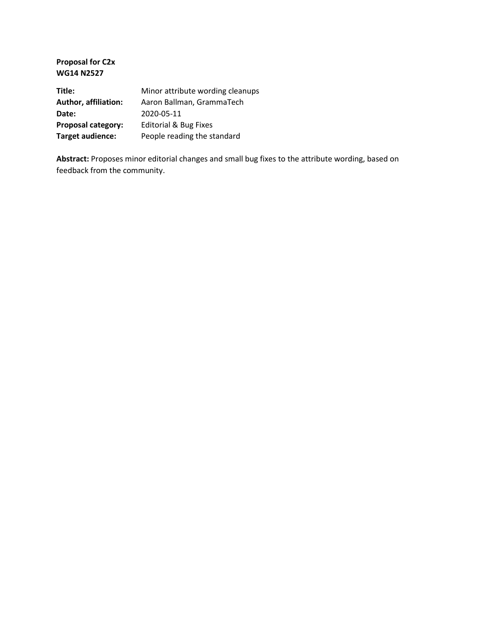**Proposal for C2x WG14 N2527 Title:** Minor attribute wording cleanups

| <u>IVIIIIUI attiibute woruing ciealiup</u> |
|--------------------------------------------|
| Aaron Ballman, GrammaTech                  |
| 2020-05-11                                 |
| <b>Editorial &amp; Bug Fixes</b>           |
| People reading the standard                |
|                                            |

**Abstract:** Proposes minor editorial changes and small bug fixes to the attribute wording, based on feedback from the community.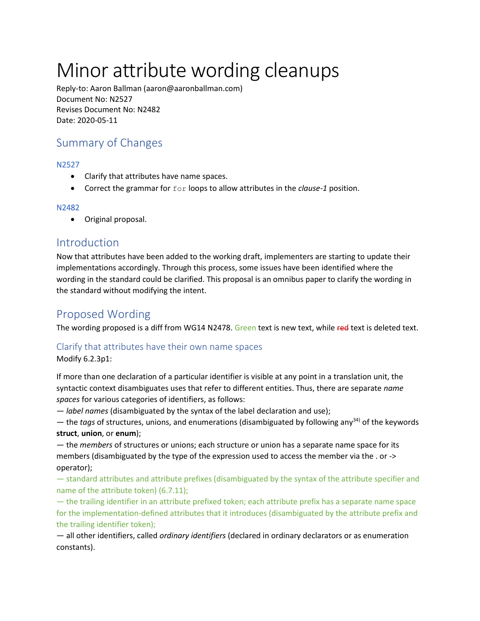# Minor attribute wording cleanups

Reply-to: Aaron Ballman (aaron@aaronballman.com) Document No: N2527 Revises Document No: N2482 Date: 2020-05-11

## Summary of Changes

#### N2527

- Clarify that attributes have name spaces.
- Correct the grammar for for loops to allow attributes in the *clause-1* position.

#### N2482

• Original proposal.

### Introduction

Now that attributes have been added to the working draft, implementers are starting to update their implementations accordingly. Through this process, some issues have been identified where the wording in the standard could be clarified. This proposal is an omnibus paper to clarify the wording in the standard without modifying the intent.

## Proposed Wording

The wording proposed is a diff from WG14 N2478. Green text is new text, while red text is deleted text.

#### Clarify that attributes have their own name spaces

Modify 6.2.3p1:

If more than one declaration of a particular identifier is visible at any point in a translation unit, the syntactic context disambiguates uses that refer to different entities. Thus, there are separate *name spaces* for various categories of identifiers, as follows:

— *label names* (disambiguated by the syntax of the label declaration and use);

— the *tags* of structures, unions, and enumerations (disambiguated by following any34) of the keywords **struct**, **union**, or **enum**);

— the *members* of structures or unions; each structure or union has a separate name space for its members (disambiguated by the type of the expression used to access the member via the . or -> operator);

— standard attributes and attribute prefixes (disambiguated by the syntax of the attribute specifier and name of the attribute token) (6.7.11);

— the trailing identifier in an attribute prefixed token; each attribute prefix has a separate name space for the implementation-defined attributes that it introduces (disambiguated by the attribute prefix and the trailing identifier token);

— all other identifiers, called *ordinary identifiers* (declared in ordinary declarators or as enumeration constants).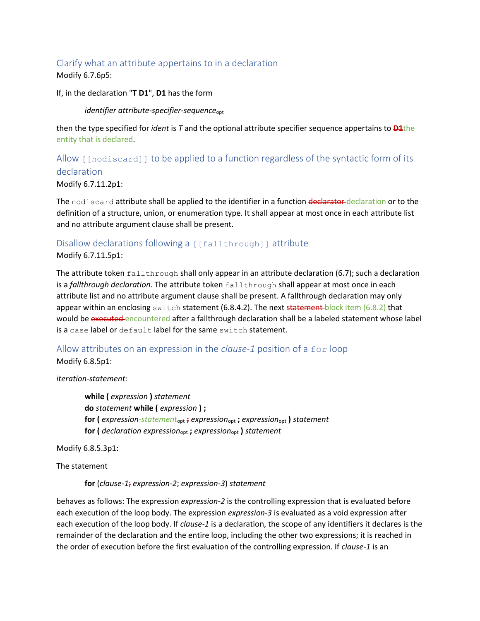## Clarify what an attribute appertains to in a declaration

Modify 6.7.6p5:

If, in the declaration "**T D1**", **D1** has the form

*identifier attribute-specifier-sequence*opt

then the type specified for *ident* is *T* and the optional attribute specifier sequence appertains to **D1**the entity that is declared.

Allow [[nodiscard]] to be applied to a function regardless of the syntactic form of its declaration

Modify 6.7.11.2p1:

The nodiscard attribute shall be applied to the identifier in a function declarator-declaration or to the definition of a structure, union, or enumeration type. It shall appear at most once in each attribute list and no attribute argument clause shall be present.

### Disallow declarations following a [[fallthrough]] attribute

Modify 6.7.11.5p1:

The attribute token  $fallation$  shall only appear in an attribute declaration (6.7); such a declaration is a *fallthrough declaration*. The attribute token fallthrough shall appear at most once in each attribute list and no attribute argument clause shall be present. A fallthrough declaration may only appear within an enclosing switch statement (6.8.4.2). The next statement block item (6.8.2) that would be executed encountered after a fallthrough declaration shall be a labeled statement whose label is a case label or default label for the same switch statement.

Allow attributes on an expression in the *clause-1* position of a for loop Modify 6.8.5p1:

*iteration-statement:*

**while (** *expression* **)** *statement* **do** *statement* **while (** *expression* **) ; for (** *expression-statement*opt **;** *expression*opt **;** *expression*opt **)** *statement* **for (** *declaration expression*opt **;** *expression*opt **)** *statement*

Modify 6.8.5.3p1:

The statement

**for** (*clause-1*; *expression-2*; *expression-3*) *statement*

behaves as follows: The expression *expression-2* is the controlling expression that is evaluated before each execution of the loop body. The expression *expression-3* is evaluated as a void expression after each execution of the loop body. If *clause-1* is a declaration, the scope of any identifiers it declares is the remainder of the declaration and the entire loop, including the other two expressions; it is reached in the order of execution before the first evaluation of the controlling expression. If *clause-1* is an